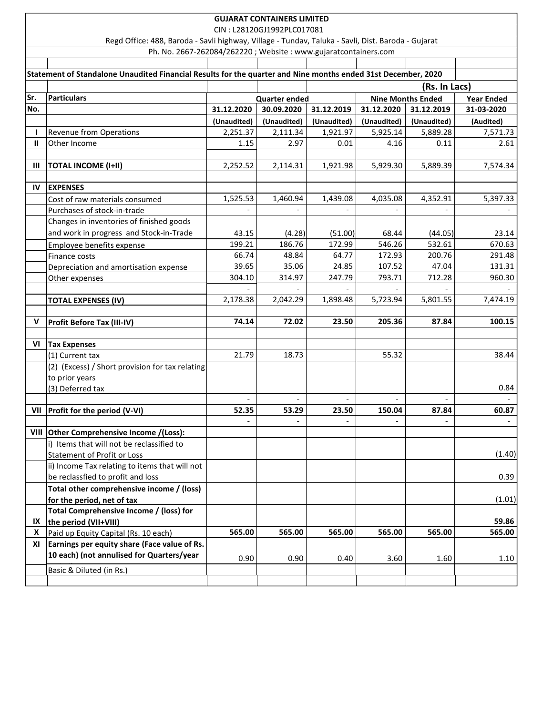|              |                                                                                                               |                      | <b>GUJARAT CONTAINERS LIMITED</b> |             |                                               |             |                         |  |
|--------------|---------------------------------------------------------------------------------------------------------------|----------------------|-----------------------------------|-------------|-----------------------------------------------|-------------|-------------------------|--|
|              |                                                                                                               |                      | CIN: L28120GJ1992PLC017081        |             |                                               |             |                         |  |
|              | Regd Office: 488, Baroda - Savli highway, Village - Tundav, Taluka - Savli, Dist. Baroda - Gujarat            |                      |                                   |             |                                               |             |                         |  |
|              | Ph. No. 2667-262084/262220; Website: www.gujaratcontainers.com                                                |                      |                                   |             |                                               |             |                         |  |
|              | Statement of Standalone Unaudited Financial Results for the quarter and Nine months ended 31st December, 2020 |                      |                                   |             |                                               |             |                         |  |
|              |                                                                                                               | (Rs. In Lacs)        |                                   |             |                                               |             |                         |  |
| Sr.          | <b>Particulars</b>                                                                                            | <b>Quarter ended</b> |                                   |             | <b>Nine Months Ended</b><br><b>Year Ended</b> |             |                         |  |
| No.          |                                                                                                               | 31.12.2020           | 30.09.2020                        | 31.12.2019  | 31.12.2019<br>31.12.2020                      |             |                         |  |
|              |                                                                                                               | (Unaudited)          | (Unaudited)                       | (Unaudited) | (Unaudited)                                   | (Unaudited) | 31-03-2020<br>(Audited) |  |
|              | <b>Revenue from Operations</b>                                                                                | 2,251.37             | 2,111.34                          | 1,921.97    | 5,925.14                                      | 5,889.28    | 7,571.73                |  |
| $\mathbf{u}$ | <b>Other Income</b>                                                                                           | 1.15                 | 2.97                              | 0.01        | 4.16                                          | 0.11        | 2.61                    |  |
|              |                                                                                                               |                      |                                   |             |                                               |             |                         |  |
| Ш            | <b>TOTAL INCOME (I+II)</b>                                                                                    | 2,252.52             | 2,114.31                          | 1,921.98    | 5,929.30                                      | 5,889.39    | 7,574.34                |  |
|              |                                                                                                               |                      |                                   |             |                                               |             |                         |  |
| IV           | <b>EXPENSES</b>                                                                                               |                      |                                   |             |                                               |             |                         |  |
|              | Cost of raw materials consumed                                                                                | 1,525.53             | 1,460.94                          | 1,439.08    | 4,035.08                                      | 4,352.91    | 5,397.33                |  |
|              | Purchases of stock-in-trade                                                                                   |                      |                                   |             |                                               |             |                         |  |
|              | Changes in inventories of finished goods                                                                      |                      |                                   |             |                                               |             |                         |  |
|              | and work in progress and Stock-in-Trade                                                                       | 43.15                | (4.28)                            | (51.00)     | 68.44                                         | (44.05)     | 23.14                   |  |
|              | Employee benefits expense                                                                                     | 199.21               | 186.76                            | 172.99      | 546.26                                        | 532.61      | 670.63                  |  |
|              | Finance costs                                                                                                 | 66.74                | 48.84                             | 64.77       | 172.93                                        | 200.76      | 291.48                  |  |
|              | Depreciation and amortisation expense                                                                         | 39.65                | 35.06                             | 24.85       | 107.52                                        | 47.04       | 131.31                  |  |
|              | Other expenses                                                                                                | 304.10               | 314.97                            | 247.79      | 793.71                                        | 712.28      | 960.30                  |  |
|              |                                                                                                               |                      |                                   |             |                                               |             |                         |  |
|              | <b>TOTAL EXPENSES (IV)</b>                                                                                    | 2,178.38             | 2,042.29                          | 1,898.48    | 5,723.94                                      | 5,801.55    | 7,474.19                |  |
|              |                                                                                                               |                      |                                   |             |                                               |             |                         |  |
| $\mathsf{V}$ | Profit Before Tax (III-IV)                                                                                    | 74.14                | 72.02                             | 23.50       | 205.36                                        | 87.84       | 100.15                  |  |
|              |                                                                                                               |                      |                                   |             |                                               |             |                         |  |
| VI           | <b>Tax Expenses</b>                                                                                           | 21.79                |                                   |             |                                               |             |                         |  |
|              | (1) Current tax                                                                                               |                      | 18.73                             |             | 55.32                                         |             | 38.44                   |  |
|              | (2) (Excess) / Short provision for tax relating                                                               |                      |                                   |             |                                               |             |                         |  |
|              | to prior years<br>(3) Deferred tax                                                                            |                      |                                   |             |                                               |             | 0.84                    |  |
|              |                                                                                                               |                      |                                   |             |                                               |             |                         |  |
|              | VII Profit for the period (V-VI)                                                                              | 52.35                | 53.29                             | 23.50       | 150.04                                        | 87.84       | 60.87                   |  |
|              |                                                                                                               |                      | $\overline{a}$                    |             |                                               |             |                         |  |
| <b>VIII</b>  | Other Comprehensive Income /(Loss):                                                                           |                      |                                   |             |                                               |             |                         |  |
|              | i) Items that will not be reclassified to                                                                     |                      |                                   |             |                                               |             |                         |  |
|              | <b>Statement of Profit or Loss</b>                                                                            |                      |                                   |             |                                               |             | (1.40)                  |  |
|              | ii) Income Tax relating to items that will not                                                                |                      |                                   |             |                                               |             |                         |  |
|              | be reclassfied to profit and loss                                                                             |                      |                                   |             |                                               |             | 0.39                    |  |
|              | Total other comprehensive income / (loss)                                                                     |                      |                                   |             |                                               |             |                         |  |
|              | for the period, net of tax                                                                                    |                      |                                   |             |                                               |             | (1.01)                  |  |
|              | Total Comprehensive Income / (loss) for                                                                       |                      |                                   |             |                                               |             |                         |  |
| IX           | the period (VII+VIII)                                                                                         |                      |                                   |             |                                               |             | 59.86                   |  |
| X            | Paid up Equity Capital (Rs. 10 each)                                                                          | 565.00               | 565.00                            | 565.00      | 565.00                                        | 565.00      | 565.00                  |  |
| XI           | Earnings per equity share (Face value of Rs.                                                                  |                      |                                   |             |                                               |             |                         |  |
|              | 10 each) (not annulised for Quarters/year                                                                     | 0.90                 | 0.90                              | 0.40        | 3.60                                          | 1.60        | 1.10                    |  |
|              | Basic & Diluted (in Rs.)                                                                                      |                      |                                   |             |                                               |             |                         |  |
|              |                                                                                                               |                      |                                   |             |                                               |             |                         |  |